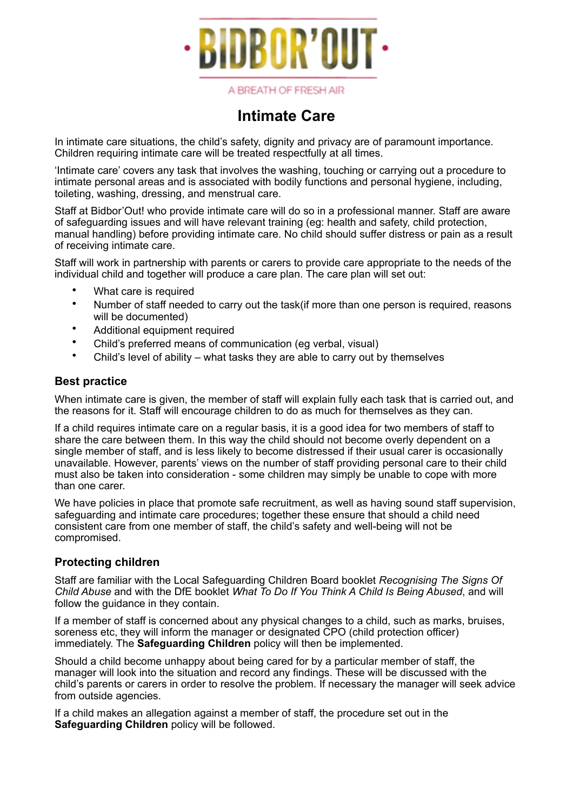

A BREATH OF FRESH AIR

## **Intimate Care**

In intimate care situations, the child's safety, dignity and privacy are of paramount importance. Children requiring intimate care will be treated respectfully at all times.

'Intimate care' covers any task that involves the washing, touching or carrying out a procedure to intimate personal areas and is associated with bodily functions and personal hygiene, including, toileting, washing, dressing, and menstrual care.

Staff at Bidbor'Out! who provide intimate care will do so in a professional manner. Staff are aware of safeguarding issues and will have relevant training (eg: health and safety, child protection, manual handling) before providing intimate care. No child should suffer distress or pain as a result of receiving intimate care.

Staff will work in partnership with parents or carers to provide care appropriate to the needs of the individual child and together will produce a care plan. The care plan will set out:

- What care is required
- Number of staff needed to carry out the task(if more than one person is required, reasons will be documented)
- Additional equipment required
- Child's preferred means of communication (eg verbal, visual)
- Child's level of ability what tasks they are able to carry out by themselves

## **Best practice**

When intimate care is given, the member of staff will explain fully each task that is carried out, and the reasons for it. Staff will encourage children to do as much for themselves as they can.

If a child requires intimate care on a regular basis, it is a good idea for two members of staff to share the care between them. In this way the child should not become overly dependent on a single member of staff, and is less likely to become distressed if their usual carer is occasionally unavailable. However, parents' views on the number of staff providing personal care to their child must also be taken into consideration - some children may simply be unable to cope with more than one carer.

We have policies in place that promote safe recruitment, as well as having sound staff supervision, safeguarding and intimate care procedures; together these ensure that should a child need consistent care from one member of staff, the child's safety and well-being will not be compromised.

## **Protecting children**

Staff are familiar with the Local Safeguarding Children Board booklet *Recognising The Signs Of Child Abuse* and with the DfE booklet *What To Do If You Think A Child Is Being Abused*, and will follow the guidance in they contain.

If a member of staff is concerned about any physical changes to a child, such as marks, bruises, soreness etc, they will inform the manager or designated CPO (child protection officer) immediately. The **Safeguarding Children** policy will then be implemented.

Should a child become unhappy about being cared for by a particular member of staff, the manager will look into the situation and record any findings. These will be discussed with the child's parents or carers in order to resolve the problem. If necessary the manager will seek advice from outside agencies.

If a child makes an allegation against a member of staff, the procedure set out in the **Safeguarding Children** policy will be followed.